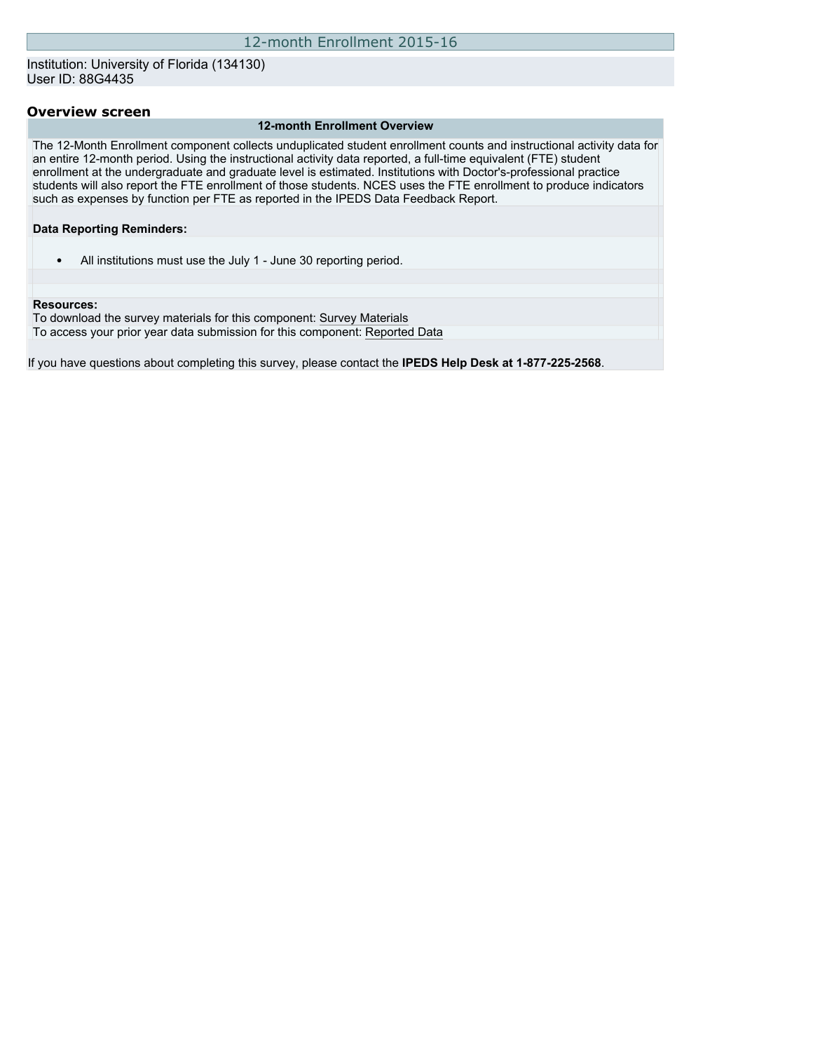## Institution: University of Florida (134130) User ID: 88G4435

## **Overview screen**

#### **12-month Enrollment Overview**

The 12-Month Enrollment component collects unduplicated student enrollment counts and instructional activity data for an entire 12-month period. Using the instructional activity data reported, a full-time equivalent (FTE) student enrollment at the undergraduate and graduate level is estimated. Institutions with Doctor's-professional practice students will also report the FTE enrollment of those students. NCES uses the FTE enrollment to produce indicators such as expenses by function per FTE as reported in the IPEDS Data Feedback Report.

#### **Data Reporting Reminders:**

• All institutions must use the July 1 - June 30 reporting period.

#### **Resources:**

To download the survey materials for this component: [Survey Materials](https://surveys.nces.ed.gov/ipeds/VisIndex.aspx) To access your prior year data submission for this component: [Reported Data](http://192.168.102.89/IPEDS/PriorYearDataRedirect.aspx?survey_id=9)

If you have questions about completing this survey, please contact the **IPEDS Help Desk at 1-877-225-2568**.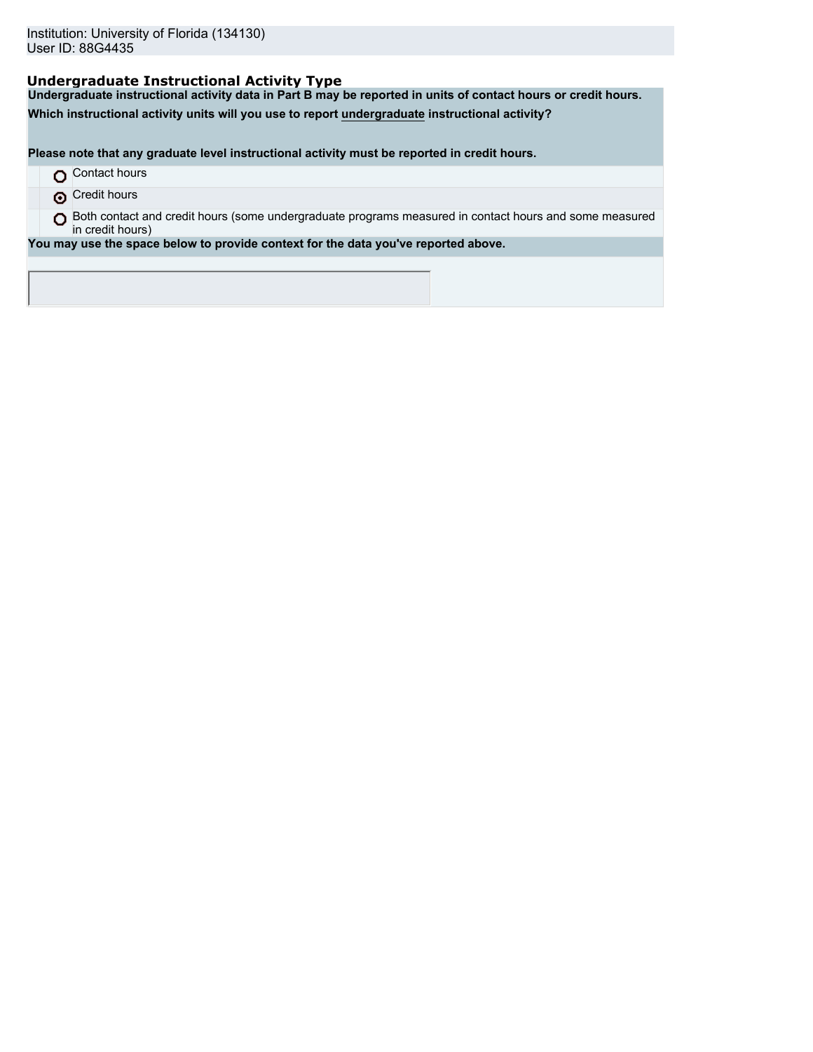## **Undergraduate Instructional Activity Type**

**Undergraduate instructional activity data in Part B may be reported in units of contact hours or credit hours.**

**Which instructional activity units will you use to report undergraduate instructional activity?**

**Please note that any graduate level instructional activity must be reported in credit hours.**

- **O** Contact hours
- **O** Credit hours

O Both contact and credit hours (some undergraduate programs measured in contact hours and some measured in credit hours)

**You may use the space below to provide context for the data you've reported above.**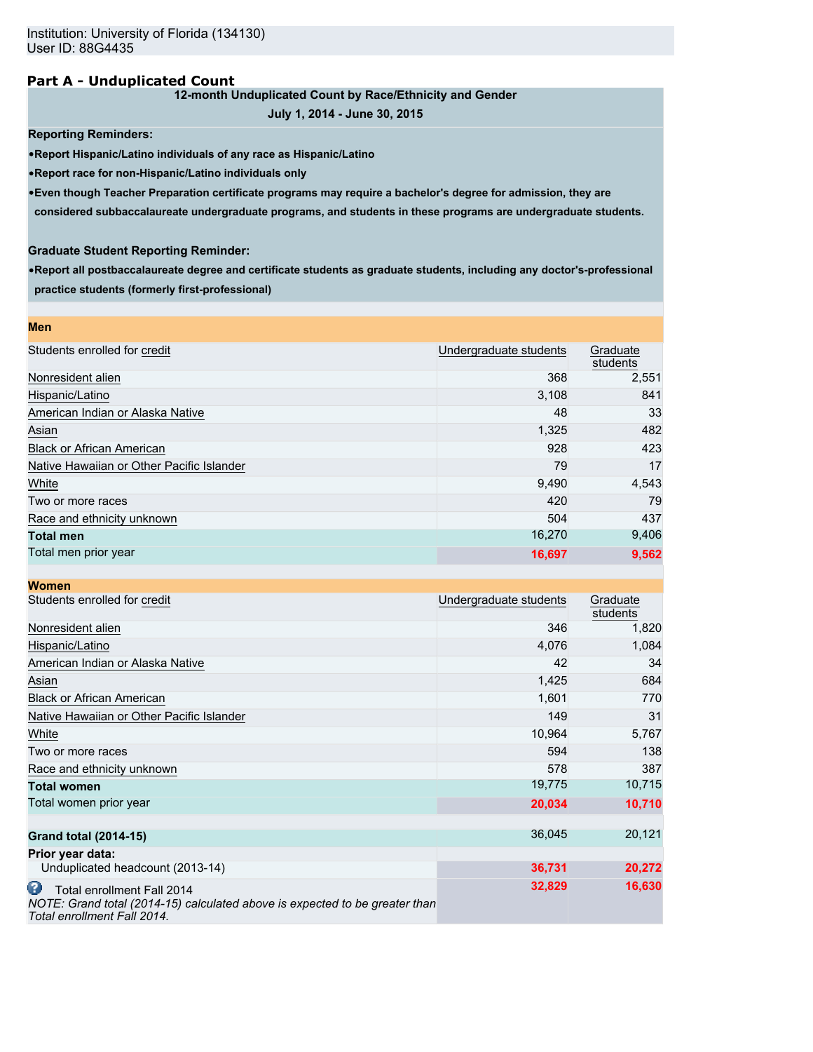## **Part A - Unduplicated Count**

## **12-month Unduplicated Count by Race/Ethnicity and Gender**

```
July 1, 2014 - June 30, 2015
```
**Reporting Reminders:**

•**Report Hispanic/Latino individuals of any race as Hispanic/Latino**

•**Report race for non-Hispanic/Latino individuals only**

•**Even though Teacher Preparation certificate programs may require a bachelor's degree for admission, they are**

**considered subbaccalaureate undergraduate programs, and students in these programs are undergraduate students.**

## **Graduate Student Reporting Reminder:**

•**Report all postbaccalaureate degree and certificate students as graduate students, including any doctor's-professional practice students (formerly first-professional)**

| <b>Men</b>                                |                        |                      |
|-------------------------------------------|------------------------|----------------------|
| Students enrolled for credit              | Undergraduate students | Graduate<br>students |
| Nonresident alien                         | 368                    | 2,551                |
| Hispanic/Latino                           | 3,108                  | 841                  |
| American Indian or Alaska Native          | 48                     | 33                   |
| Asian                                     | 1,325                  | 482                  |
| <b>Black or African American</b>          | 928                    | 423                  |
| Native Hawaiian or Other Pacific Islander | 79                     | 17                   |
| White                                     | 9,490                  | 4,543                |
| Two or more races                         | 420                    | 79                   |
| Race and ethnicity unknown                | 504                    | 437                  |
| <b>Total men</b>                          | 16,270                 | 9,406                |
| Total men prior year                      | 16,697                 | 9,562                |

| <b>Women</b>                                                                                                                                  |                        |                      |
|-----------------------------------------------------------------------------------------------------------------------------------------------|------------------------|----------------------|
| Students enrolled for credit                                                                                                                  | Undergraduate students | Graduate<br>students |
| Nonresident alien                                                                                                                             | 346                    | 1,820                |
| Hispanic/Latino                                                                                                                               | 4,076                  | 1,084                |
| American Indian or Alaska Native                                                                                                              | 42                     | 34                   |
| Asian                                                                                                                                         | 1,425                  | 684                  |
| <b>Black or African American</b>                                                                                                              | 1,601                  | 770                  |
| Native Hawaiian or Other Pacific Islander                                                                                                     | 149                    | 31                   |
| White                                                                                                                                         | 10,964                 | 5,767                |
| Two or more races                                                                                                                             | 594                    | 138                  |
| Race and ethnicity unknown                                                                                                                    | 578                    | 387                  |
| <b>Total women</b>                                                                                                                            | 19,775                 | 10,715               |
| Total women prior year                                                                                                                        | 20,034                 | 10,710               |
| <b>Grand total (2014-15)</b>                                                                                                                  | 36,045                 | 20,121               |
| Prior year data:                                                                                                                              |                        |                      |
| Unduplicated headcount (2013-14)                                                                                                              | 36,731                 | 20,272               |
| Ø<br>Total enrollment Fall 2014<br>NOTE: Grand total (2014-15) calculated above is expected to be greater than<br>Total enrollment Fall 2014. | 32,829                 | 16,630               |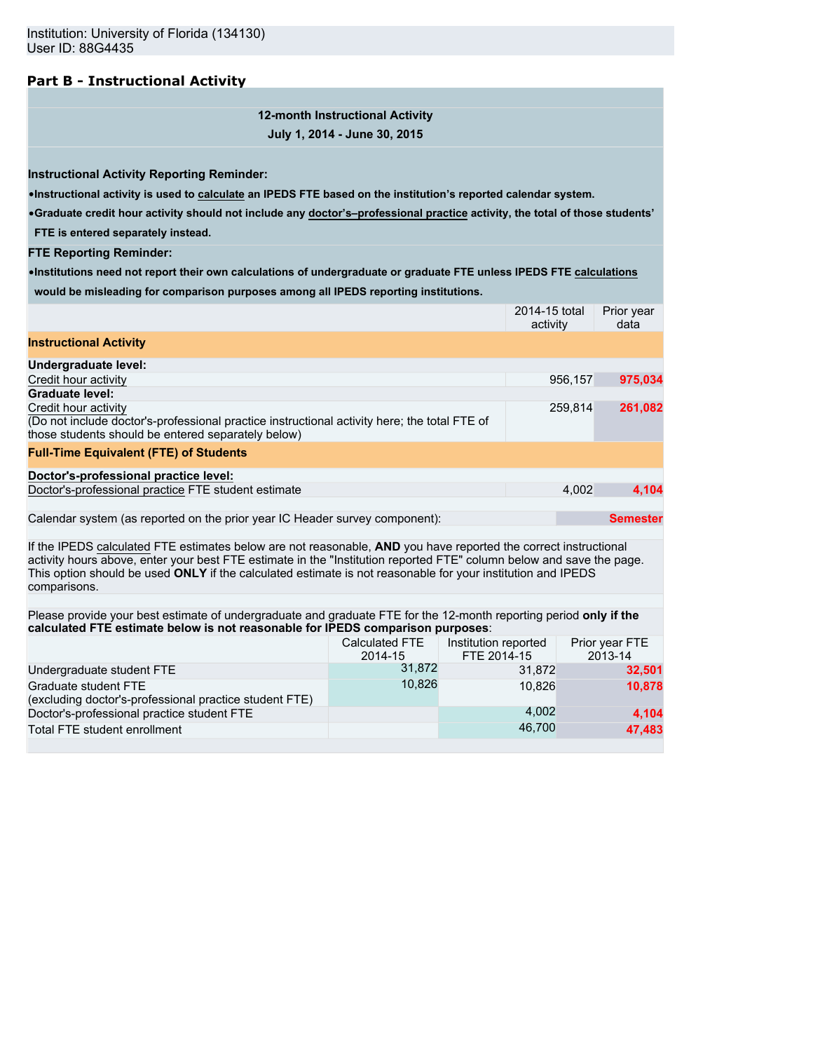# **Part B - Instructional Activity**

**12-month Instructional Activity July 1, 2014 - June 30, 2015**

**Instructional Activity Reporting Reminder:**

•**Instructional activity is used to calculate an IPEDS FTE based on the institution's reported calendar system.**

•**Graduate credit hour activity should not include any doctor's–professional practice activity, the total of those students'**

**FTE is entered separately instead.**

**FTE Reporting Reminder:**

•**Institutions need not report their own calculations of undergraduate or graduate FTE unless IPEDS FTE calculations would be misleading for comparison purposes among all IPEDS reporting institutions.**

|                                                                                                                                                                                                                                                                                                                                                                        |                           |                                     | 2014-15 total<br>activity |         | Prior year<br>data        |  |
|------------------------------------------------------------------------------------------------------------------------------------------------------------------------------------------------------------------------------------------------------------------------------------------------------------------------------------------------------------------------|---------------------------|-------------------------------------|---------------------------|---------|---------------------------|--|
| <b>Instructional Activity</b>                                                                                                                                                                                                                                                                                                                                          |                           |                                     |                           |         |                           |  |
| Undergraduate level:                                                                                                                                                                                                                                                                                                                                                   |                           |                                     |                           |         |                           |  |
| Credit hour activity                                                                                                                                                                                                                                                                                                                                                   |                           |                                     |                           | 956,157 | 975,034                   |  |
| <b>Graduate level:</b>                                                                                                                                                                                                                                                                                                                                                 |                           |                                     |                           |         |                           |  |
| Credit hour activity<br>(Do not include doctor's-professional practice instructional activity here; the total FTE of<br>those students should be entered separately below)                                                                                                                                                                                             |                           |                                     |                           | 259,814 | 261,082                   |  |
| <b>Full-Time Equivalent (FTE) of Students</b>                                                                                                                                                                                                                                                                                                                          |                           |                                     |                           |         |                           |  |
| Doctor's-professional practice level:                                                                                                                                                                                                                                                                                                                                  |                           |                                     |                           |         |                           |  |
| Doctor's-professional practice FTE student estimate                                                                                                                                                                                                                                                                                                                    |                           |                                     |                           | 4,002   | 4,104                     |  |
| Calendar system (as reported on the prior year IC Header survey component):                                                                                                                                                                                                                                                                                            |                           |                                     |                           |         | <b>Semester</b>           |  |
| If the IPEDS calculated FTE estimates below are not reasonable, AND you have reported the correct instructional<br>activity hours above, enter your best FTE estimate in the "Institution reported FTE" column below and save the page.<br>This option should be used ONLY if the calculated estimate is not reasonable for your institution and IPEDS<br>comparisons. |                           |                                     |                           |         |                           |  |
|                                                                                                                                                                                                                                                                                                                                                                        |                           |                                     |                           |         |                           |  |
| Please provide your best estimate of undergraduate and graduate FTE for the 12-month reporting period only if the<br>calculated FTE estimate below is not reasonable for IPEDS comparison purposes:                                                                                                                                                                    |                           |                                     |                           |         |                           |  |
|                                                                                                                                                                                                                                                                                                                                                                        | Calculated FTE<br>2014-15 | Institution reported<br>FTE 2014-15 |                           |         | Prior year FTE<br>2013-14 |  |
| Undergraduate student FTE                                                                                                                                                                                                                                                                                                                                              | 31,872                    |                                     | 31,872                    |         | 32,501                    |  |
| Graduate student FTE<br>(excluding doctor's-professional practice student FTE)                                                                                                                                                                                                                                                                                         | 10,826                    |                                     | 10,826                    |         | 10,878                    |  |
| Doctor's-professional practice student FTE                                                                                                                                                                                                                                                                                                                             |                           |                                     | 4,002                     |         | 4,104                     |  |
| Total FTE student enrollment                                                                                                                                                                                                                                                                                                                                           |                           |                                     | 46,700                    |         | 47.483                    |  |
|                                                                                                                                                                                                                                                                                                                                                                        |                           |                                     |                           |         |                           |  |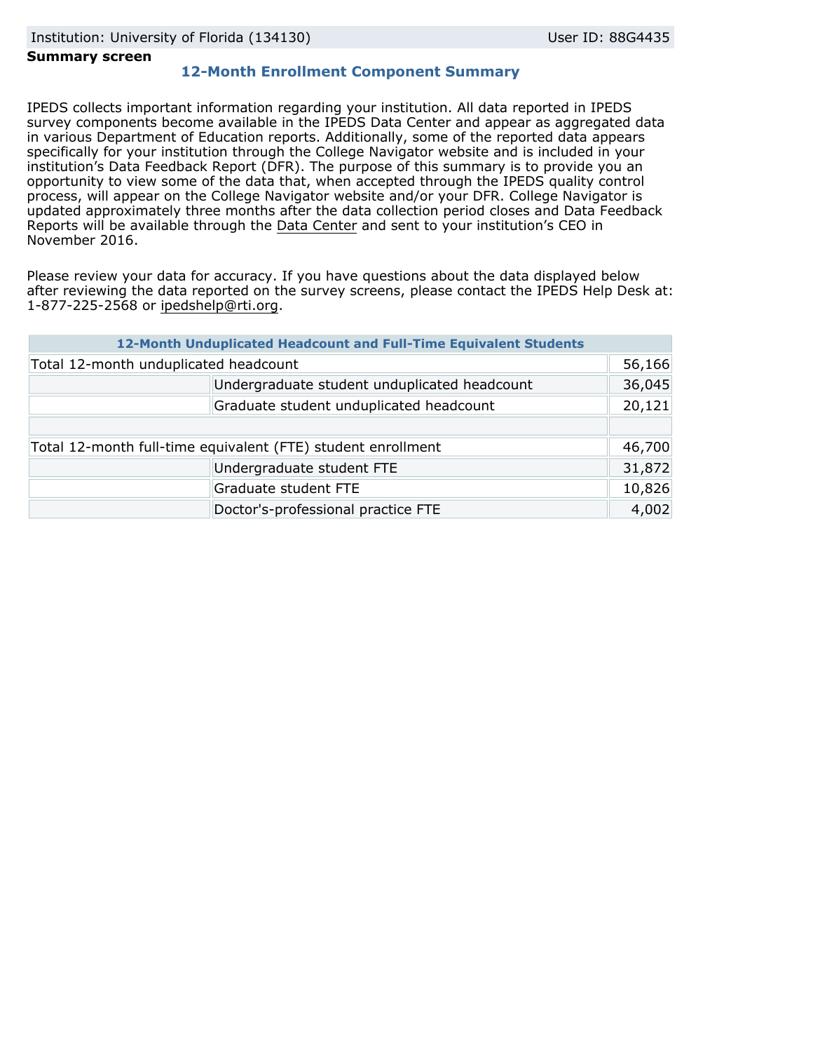### **Summary screen**

## **12-Month Enrollment Component Summary**

IPEDS collects important information regarding your institution. All data reported in IPEDS survey components become available in the IPEDS Data Center and appear as aggregated data in various Department of Education reports. Additionally, some of the reported data appears specifically for your institution through the College Navigator website and is included in your institution's Data Feedback Report (DFR). The purpose of this summary is to provide you an opportunity to view some of the data that, when accepted through the IPEDS quality control process, will appear on the College Navigator website and/or your DFR. College Navigator is updated approximately three months after the data collection period closes and Data Feedback Reports will be available through the [Data Center](http://nces.ed.gov/ipeds/datacenter/) and sent to your institution's CEO in November 2016.

Please review your data for accuracy. If you have questions about the data displayed below after reviewing the data reported on the survey screens, please contact the IPEDS Help Desk at: 1-877-225-2568 or ipedshelp@rti.org.

|                                                              | 12-Month Unduplicated Headcount and Full-Time Equivalent Students |        |
|--------------------------------------------------------------|-------------------------------------------------------------------|--------|
| Total 12-month unduplicated headcount                        |                                                                   | 56,166 |
|                                                              | Undergraduate student unduplicated headcount                      | 36,045 |
|                                                              | Graduate student unduplicated headcount                           | 20,121 |
|                                                              |                                                                   |        |
| Total 12-month full-time equivalent (FTE) student enrollment |                                                                   | 46,700 |
|                                                              | Undergraduate student FTE                                         | 31,872 |
|                                                              | Graduate student FTE                                              | 10,826 |
|                                                              | Doctor's-professional practice FTE                                | 4,002  |